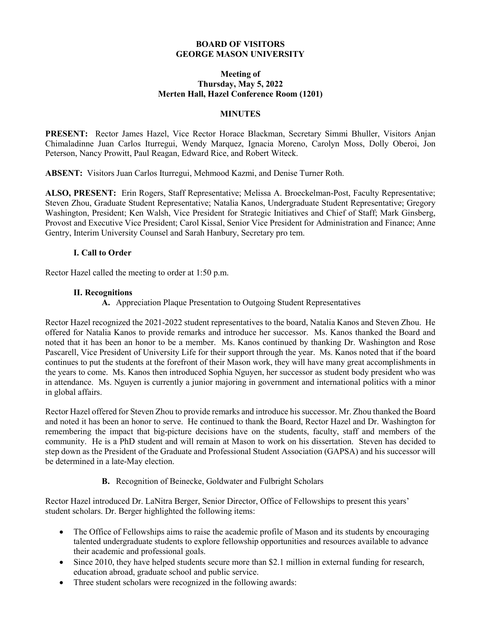### **BOARD OF VISITORS GEORGE MASON UNIVERSITY**

#### **Meeting of Thursday, May 5, 2022 Merten Hall, Hazel Conference Room (1201)**

#### **MINUTES**

**PRESENT:** Rector James Hazel, Vice Rector Horace Blackman, Secretary Simmi Bhuller, Visitors Anjan Chimaladinne Juan Carlos Iturregui, Wendy Marquez, Ignacia Moreno, Carolyn Moss, Dolly Oberoi, Jon Peterson, Nancy Prowitt, Paul Reagan, Edward Rice, and Robert Witeck.

**ABSENT:** Visitors Juan Carlos Iturregui, Mehmood Kazmi, and Denise Turner Roth.

**ALSO, PRESENT:** Erin Rogers, Staff Representative; Melissa A. Broeckelman-Post, Faculty Representative; Steven Zhou, Graduate Student Representative; Natalia Kanos, Undergraduate Student Representative; Gregory Washington, President; Ken Walsh, Vice President for Strategic Initiatives and Chief of Staff; Mark Ginsberg, Provost and Executive Vice President; Carol Kissal, Senior Vice President for Administration and Finance; Anne Gentry, Interim University Counsel and Sarah Hanbury, Secretary pro tem.

## **I. Call to Order**

Rector Hazel called the meeting to order at 1:50 p.m.

### **II. Recognitions**

**A.** Appreciation Plaque Presentation to Outgoing Student Representatives

Rector Hazel recognized the 2021-2022 student representatives to the board, Natalia Kanos and Steven Zhou. He offered for Natalia Kanos to provide remarks and introduce her successor. Ms. Kanos thanked the Board and noted that it has been an honor to be a member. Ms. Kanos continued by thanking Dr. Washington and Rose Pascarell, Vice President of University Life for their support through the year. Ms. Kanos noted that if the board continues to put the students at the forefront of their Mason work, they will have many great accomplishments in the years to come. Ms. Kanos then introduced Sophia Nguyen, her successor as student body president who was in attendance. Ms. Nguyen is currently a junior majoring in government and international politics with a minor in global affairs.

Rector Hazel offered for Steven Zhou to provide remarks and introduce his successor. Mr. Zhou thanked the Board and noted it has been an honor to serve. He continued to thank the Board, Rector Hazel and Dr. Washington for remembering the impact that big-picture decisions have on the students, faculty, staff and members of the community. He is a PhD student and will remain at Mason to work on his dissertation. Steven has decided to step down as the President of the Graduate and Professional Student Association (GAPSA) and his successor will be determined in a late-May election.

### **B.** Recognition of Beinecke, Goldwater and Fulbright Scholars

Rector Hazel introduced Dr. LaNitra Berger, Senior Director, Office of Fellowships to present this years' student scholars. Dr. Berger highlighted the following items:

- The Office of Fellowships aims to raise the academic profile of Mason and its students by encouraging talented undergraduate students to explore fellowship opportunities and resources available to advance their academic and professional goals.
- Since 2010, they have helped students secure more than \$2.1 million in external funding for research, education abroad, graduate school and public service.
- Three student scholars were recognized in the following awards: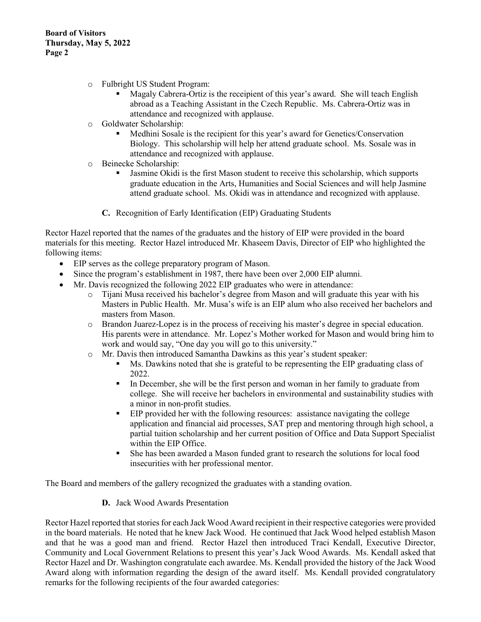- o Fulbright US Student Program:
	- Magaly Cabrera-Ortiz is the receipient of this year's award. She will teach English abroad as a Teaching Assistant in the Czech Republic. Ms. Cabrera-Ortiz was in attendance and recognized with applause.
- o Goldwater Scholarship:
	- Medhini Sosale is the recipient for this year's award for Genetics/Conservation Biology. This scholarship will help her attend graduate school. Ms. Sosale was in attendance and recognized with applause.
- o Beinecke Scholarship:
	- Jasmine Okidi is the first Mason student to receive this scholarship, which supports graduate education in the Arts, Humanities and Social Sciences and will help Jasmine attend graduate school. Ms. Okidi was in attendance and recognized with applause.
	- **C.** Recognition of Early Identification (EIP) Graduating Students

Rector Hazel reported that the names of the graduates and the history of EIP were provided in the board materials for this meeting. Rector Hazel introduced Mr. Khaseem Davis, Director of EIP who highlighted the following items:

- EIP serves as the college preparatory program of Mason.
- Since the program's establishment in 1987, there have been over 2,000 EIP alumni.
- Mr. Davis recognized the following 2022 EIP graduates who were in attendance:
	- o Tijani Musa received his bachelor's degree from Mason and will graduate this year with his Masters in Public Health. Mr. Musa's wife is an EIP alum who also received her bachelors and masters from Mason.
	- o Brandon Juarez-Lopez is in the process of receiving his master's degree in special education. His parents were in attendance. Mr. Lopez's Mother worked for Mason and would bring him to work and would say, "One day you will go to this university."
	- o Mr. Davis then introduced Samantha Dawkins as this year's student speaker:
		- Ms. Dawkins noted that she is grateful to be representing the EIP graduating class of 2022.
		- In December, she will be the first person and woman in her family to graduate from college. She will receive her bachelors in environmental and sustainability studies with a minor in non-profit studies.
		- EIP provided her with the following resources: assistance navigating the college application and financial aid processes, SAT prep and mentoring through high school, a partial tuition scholarship and her current position of Office and Data Support Specialist within the EIP Office.
		- She has been awarded a Mason funded grant to research the solutions for local food insecurities with her professional mentor.

The Board and members of the gallery recognized the graduates with a standing ovation.

**D.** Jack Wood Awards Presentation

Rector Hazel reported that stories for each Jack Wood Award recipient in their respective categories were provided in the board materials. He noted that he knew Jack Wood. He continued that Jack Wood helped establish Mason and that he was a good man and friend. Rector Hazel then introduced Traci Kendall, Executive Director, Community and Local Government Relations to present this year's Jack Wood Awards. Ms. Kendall asked that Rector Hazel and Dr. Washington congratulate each awardee. Ms. Kendall provided the history of the Jack Wood Award along with information regarding the design of the award itself. Ms. Kendall provided congratulatory remarks for the following recipients of the four awarded categories: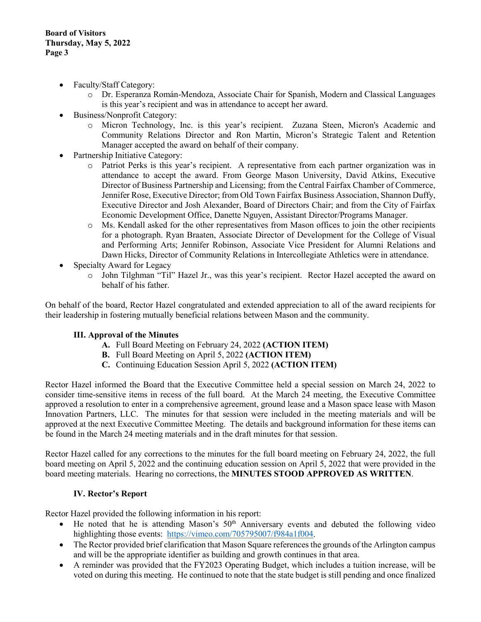- Faculty/Staff Category:
	- o Dr. Esperanza Román-Mendoza, Associate Chair for Spanish, Modern and Classical Languages is this year's recipient and was in attendance to accept her award.
- Business/Nonprofit Category:
	- o Micron Technology, Inc. is this year's recipient. Zuzana Steen, Micron's Academic and Community Relations Director and Ron Martin, Micron's Strategic Talent and Retention Manager accepted the award on behalf of their company.
- Partnership Initiative Category:
	- o Patriot Perks is this year's recipient. A representative from each partner organization was in attendance to accept the award. From George Mason University, David Atkins, Executive Director of Business Partnership and Licensing; from the Central Fairfax Chamber of Commerce, Jennifer Rose, Executive Director; from Old Town Fairfax Business Association, Shannon Duffy, Executive Director and Josh Alexander, Board of Directors Chair; and from the City of Fairfax Economic Development Office, Danette Nguyen, Assistant Director/Programs Manager.
	- o Ms. Kendall asked for the other representatives from Mason offices to join the other recipients for a photograph. Ryan Braaten, Associate Director of Development for the College of Visual and Performing Arts; Jennifer Robinson, Associate Vice President for Alumni Relations and Dawn Hicks, Director of Community Relations in Intercollegiate Athletics were in attendance.
- Specialty Award for Legacy
	- o John Tilghman "Til" Hazel Jr., was this year's recipient. Rector Hazel accepted the award on behalf of his father.

On behalf of the board, Rector Hazel congratulated and extended appreciation to all of the award recipients for their leadership in fostering mutually beneficial relations between Mason and the community.

### **III. Approval of the Minutes**

- **A.** Full Board Meeting on February 24, 2022 **(ACTION ITEM)**
- **B.** Full Board Meeting on April 5, 2022 **(ACTION ITEM)**
- **C.** Continuing Education Session April 5, 2022 **(ACTION ITEM)**

Rector Hazel informed the Board that the Executive Committee held a special session on March 24, 2022 to consider time-sensitive items in recess of the full board. At the March 24 meeting, the Executive Committee approved a resolution to enter in a comprehensive agreement, ground lease and a Mason space lease with Mason Innovation Partners, LLC. The minutes for that session were included in the meeting materials and will be approved at the next Executive Committee Meeting. The details and background information for these items can be found in the March 24 meeting materials and in the draft minutes for that session.

Rector Hazel called for any corrections to the minutes for the full board meeting on February 24, 2022, the full board meeting on April 5, 2022 and the continuing education session on April 5, 2022 that were provided in the board meeting materials. Hearing no corrections, the **MINUTES STOOD APPROVED AS WRITTEN**.

### **IV. Rector's Report**

Rector Hazel provided the following information in his report:

- He noted that he is attending Mason's  $50<sup>th</sup>$  Anniversary events and debuted the following video highlighting those events: [https://vimeo.com/705795007/f984a1f004.](https://nam11.safelinks.protection.outlook.com/?url=https%3A%2F%2Fvimeo.com%2F705795007%2Ff984a1f004&data=05%7C01%7Cshanbury%40gmu.edu%7Cb195d5d782de4a7e900208da2d414a19%7C9e857255df574c47a0c00546460380cb%7C0%7C0%7C637872055674464929%7CUnknown%7CTWFpbGZsb3d8eyJWIjoiMC4wLjAwMDAiLCJQIjoiV2luMzIiLCJBTiI6Ik1haWwiLCJXVCI6Mn0%3D%7C3000%7C%7C%7C&sdata=5dbCsgyAdysFsKPelTOS2vlUrniJMBVC41HSQKtFIwY%3D&reserved=0)
- The Rector provided brief clarification that Mason Square references the grounds of the Arlington campus and will be the appropriate identifier as building and growth continues in that area.
- A reminder was provided that the FY2023 Operating Budget, which includes a tuition increase, will be voted on during this meeting. He continued to note that the state budget is still pending and once finalized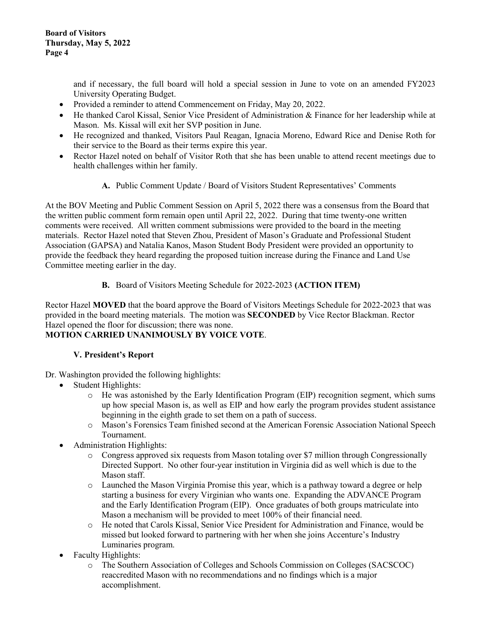and if necessary, the full board will hold a special session in June to vote on an amended FY2023 University Operating Budget.

- Provided a reminder to attend Commencement on Friday, May 20, 2022.
- He thanked Carol Kissal, Senior Vice President of Administration & Finance for her leadership while at Mason. Ms. Kissal will exit her SVP position in June.
- He recognized and thanked, Visitors Paul Reagan, Ignacia Moreno, Edward Rice and Denise Roth for their service to the Board as their terms expire this year.
- Rector Hazel noted on behalf of Visitor Roth that she has been unable to attend recent meetings due to health challenges within her family.
	- **A.** Public Comment Update / Board of Visitors Student Representatives' Comments

At the BOV Meeting and Public Comment Session on April 5, 2022 there was a consensus from the Board that the written public comment form remain open until April 22, 2022. During that time twenty-one written comments were received. All written comment submissions were provided to the board in the meeting materials. Rector Hazel noted that Steven Zhou, President of Mason's Graduate and Professional Student Association (GAPSA) and Natalia Kanos, Mason Student Body President were provided an opportunity to provide the feedback they heard regarding the proposed tuition increase during the Finance and Land Use Committee meeting earlier in the day.

# **B.** Board of Visitors Meeting Schedule for 2022-2023 **(ACTION ITEM)**

Rector Hazel **MOVED** that the board approve the Board of Visitors Meetings Schedule for 2022-2023 that was provided in the board meeting materials. The motion was **SECONDED** by Vice Rector Blackman. Rector Hazel opened the floor for discussion; there was none.

# **MOTION CARRIED UNANIMOUSLY BY VOICE VOTE**.

# **V. President's Report**

Dr. Washington provided the following highlights:

- Student Highlights:
	- o He was astonished by the Early Identification Program (EIP) recognition segment, which sums up how special Mason is, as well as EIP and how early the program provides student assistance beginning in the eighth grade to set them on a path of success.
	- o Mason's Forensics Team finished second at the American Forensic Association National Speech Tournament.
- Administration Highlights:
	- o Congress approved six requests from Mason totaling over \$7 million through Congressionally Directed Support. No other four-year institution in Virginia did as well which is due to the Mason staff.
	- o Launched the Mason Virginia Promise this year, which is a pathway toward a degree or help starting a business for every Virginian who wants one. Expanding the ADVANCE Program and the Early Identification Program (EIP). Once graduates of both groups matriculate into Mason a mechanism will be provided to meet 100% of their financial need.
	- o He noted that Carols Kissal, Senior Vice President for Administration and Finance, would be missed but looked forward to partnering with her when she joins Accenture's Industry Luminaries program.
- Faculty Highlights:
	- o The Southern Association of Colleges and Schools Commission on Colleges (SACSCOC) reaccredited Mason with no recommendations and no findings which is a major accomplishment.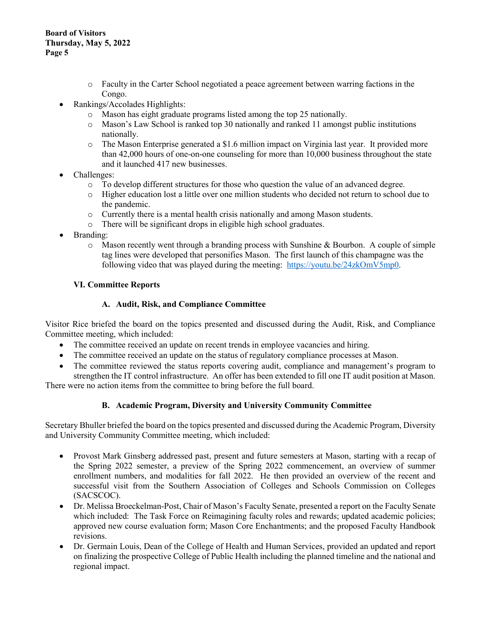- o Faculty in the Carter School negotiated a peace agreement between warring factions in the Congo.
- Rankings/Accolades Highlights:
	- o Mason has eight graduate programs listed among the top 25 nationally.<br>  $\circ$  Mason's Law School is ranked top 30 nationally and ranked 11 amongs
	- Mason's Law School is ranked top 30 nationally and ranked 11 amongst public institutions nationally.
	- o The Mason Enterprise generated a \$1.6 million impact on Virginia last year. It provided more than 42,000 hours of one-on-one counseling for more than 10,000 business throughout the state and it launched 417 new businesses.
- Challenges:
	- o To develop different structures for those who question the value of an advanced degree.
	- o Higher education lost a little over one million students who decided not return to school due to the pandemic.
	- o Currently there is a mental health crisis nationally and among Mason students.
	- o There will be significant drops in eligible high school graduates.
- Branding:
	- $\circ$  Mason recently went through a branding process with Sunshine & Bourbon. A couple of simple tag lines were developed that personifies Mason. The first launch of this champagne was the following video that was played during the meeting: [https://youtu.be/24zkOmV5mp0.](https://youtu.be/24zkOmV5mp0)

## **VI. Committee Reports**

## **A. Audit, Risk, and Compliance Committee**

Visitor Rice briefed the board on the topics presented and discussed during the Audit, Risk, and Compliance Committee meeting, which included:

- The committee received an update on recent trends in employee vacancies and hiring.
- The committee received an update on the status of regulatory compliance processes at Mason.
- The committee reviewed the status reports covering audit, compliance and management's program to strengthen the IT control infrastructure. An offer has been extended to fill one IT audit position at Mason.

There were no action items from the committee to bring before the full board.

### **B. Academic Program, Diversity and University Community Committee**

Secretary Bhuller briefed the board on the topics presented and discussed during the Academic Program, Diversity and University Community Committee meeting, which included:

- Provost Mark Ginsberg addressed past, present and future semesters at Mason, starting with a recap of the Spring 2022 semester, a preview of the Spring 2022 commencement, an overview of summer enrollment numbers, and modalities for fall 2022. He then provided an overview of the recent and successful visit from the Southern Association of Colleges and Schools Commission on Colleges (SACSCOC).
- Dr. Melissa Broeckelman-Post, Chair of Mason's Faculty Senate, presented a report on the Faculty Senate which included: The Task Force on Reimagining faculty roles and rewards; updated academic policies; approved new course evaluation form; Mason Core Enchantments; and the proposed Faculty Handbook revisions.
- Dr. Germain Louis, Dean of the College of Health and Human Services, provided an updated and report on finalizing the prospective College of Public Health including the planned timeline and the national and regional impact.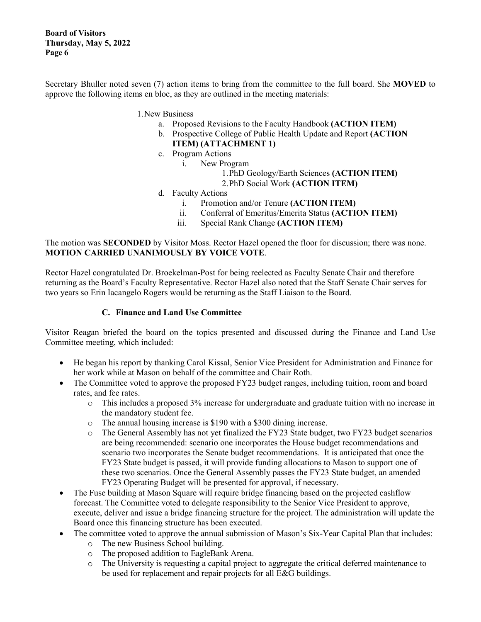**Board of Visitors Thursday, May 5, 2022 Page 6**

Secretary Bhuller noted seven (7) action items to bring from the committee to the full board. She **MOVED** to approve the following items en bloc, as they are outlined in the meeting materials:

- 1.New Business
	- a. Proposed Revisions to the Faculty Handbook **(ACTION ITEM)**
	- b. Prospective College of Public Health Update and Report **(ACTION ITEM) (ATTACHMENT 1)**
	- c. Program Actions
		- i. New Program
			- 1.PhD Geology/Earth Sciences **(ACTION ITEM)**
			- 2.PhD Social Work **(ACTION ITEM)**
	- d. Faculty Actions
		- i. Promotion and/or Tenure **(ACTION ITEM)**
		- ii. Conferral of Emeritus/Emerita Status **(ACTION ITEM)**
		- iii. Special Rank Change **(ACTION ITEM)**

The motion was **SECONDED** by Visitor Moss. Rector Hazel opened the floor for discussion; there was none. **MOTION CARRIED UNANIMOUSLY BY VOICE VOTE**.

Rector Hazel congratulated Dr. Broekelman-Post for being reelected as Faculty Senate Chair and therefore returning as the Board's Faculty Representative. Rector Hazel also noted that the Staff Senate Chair serves for two years so Erin Iacangelo Rogers would be returning as the Staff Liaison to the Board.

### **C. Finance and Land Use Committee**

Visitor Reagan briefed the board on the topics presented and discussed during the Finance and Land Use Committee meeting, which included:

- He began his report by thanking Carol Kissal, Senior Vice President for Administration and Finance for her work while at Mason on behalf of the committee and Chair Roth.
- The Committee voted to approve the proposed FY23 budget ranges, including tuition, room and board rates, and fee rates.
	- o This includes a proposed 3% increase for undergraduate and graduate tuition with no increase in the mandatory student fee.
	- o The annual housing increase is \$190 with a \$300 dining increase.
	- o The General Assembly has not yet finalized the FY23 State budget, two FY23 budget scenarios are being recommended: scenario one incorporates the House budget recommendations and scenario two incorporates the Senate budget recommendations. It is anticipated that once the FY23 State budget is passed, it will provide funding allocations to Mason to support one of these two scenarios. Once the General Assembly passes the FY23 State budget, an amended FY23 Operating Budget will be presented for approval, if necessary.
- The Fuse building at Mason Square will require bridge financing based on the projected cashflow forecast. The Committee voted to delegate responsibility to the Senior Vice President to approve, execute, deliver and issue a bridge financing structure for the project. The administration will update the Board once this financing structure has been executed.
- The committee voted to approve the annual submission of Mason's Six-Year Capital Plan that includes:
	- o The new Business School building.
	- $\circ$  The proposed addition to EagleBank Arena.<br> $\circ$  The University is requesting a capital projector
	- The University is requesting a capital project to aggregate the critical deferred maintenance to be used for replacement and repair projects for all E&G buildings.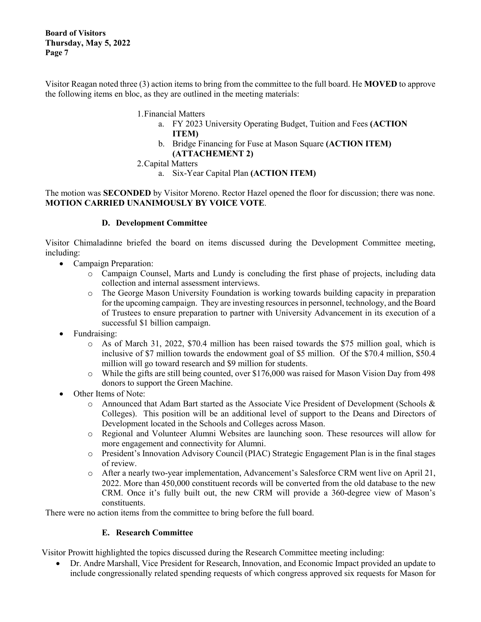**Board of Visitors Thursday, May 5, 2022 Page 7**

Visitor Reagan noted three (3) action items to bring from the committee to the full board. He **MOVED** to approve the following items en bloc, as they are outlined in the meeting materials:

- 1.Financial Matters
	- a. FY 2023 University Operating Budget, Tuition and Fees **(ACTION ITEM)**
	- b. Bridge Financing for Fuse at Mason Square **(ACTION ITEM) (ATTACHEMENT 2)**
- 2.Capital Matters
	- a. Six-Year Capital Plan **(ACTION ITEM)**

The motion was **SECONDED** by Visitor Moreno. Rector Hazel opened the floor for discussion; there was none. **MOTION CARRIED UNANIMOUSLY BY VOICE VOTE**.

## **D. Development Committee**

Visitor Chimaladinne briefed the board on items discussed during the Development Committee meeting, including:

- Campaign Preparation:
	- o Campaign Counsel, Marts and Lundy is concluding the first phase of projects, including data collection and internal assessment interviews.
	- o The George Mason University Foundation is working towards building capacity in preparation for the upcoming campaign. They are investing resources in personnel, technology, and the Board of Trustees to ensure preparation to partner with University Advancement in its execution of a successful \$1 billion campaign.
- Fundraising:
	- o As of March 31, 2022, \$70.4 million has been raised towards the \$75 million goal, which is inclusive of \$7 million towards the endowment goal of \$5 million. Of the \$70.4 million, \$50.4 million will go toward research and \$9 million for students.
	- o While the gifts are still being counted, over \$176,000 was raised for Mason Vision Day from 498 donors to support the Green Machine.
- Other Items of Note:
	- o Announced that Adam Bart started as the Associate Vice President of Development (Schools & Colleges). This position will be an additional level of support to the Deans and Directors of Development located in the Schools and Colleges across Mason.
	- o Regional and Volunteer Alumni Websites are launching soon. These resources will allow for more engagement and connectivity for Alumni.
	- o President's Innovation Advisory Council (PIAC) Strategic Engagement Plan is in the final stages of review.
	- o After a nearly two-year implementation, Advancement's Salesforce CRM went live on April 21, 2022. More than 450,000 constituent records will be converted from the old database to the new CRM. Once it's fully built out, the new CRM will provide a 360-degree view of Mason's constituents.

There were no action items from the committee to bring before the full board.

### **E. Research Committee**

Visitor Prowitt highlighted the topics discussed during the Research Committee meeting including:

• Dr. Andre Marshall, Vice President for Research, Innovation, and Economic Impact provided an update to include congressionally related spending requests of which congress approved six requests for Mason for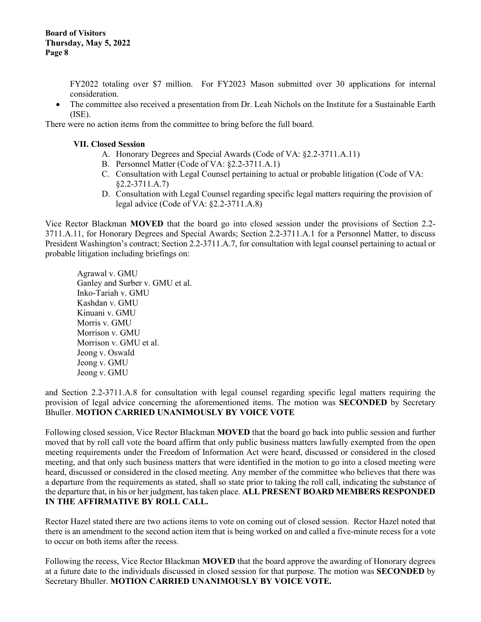FY2022 totaling over \$7 million. For FY2023 Mason submitted over 30 applications for internal consideration.

• The committee also received a presentation from Dr. Leah Nichols on the Institute for a Sustainable Earth (ISE).

There were no action items from the committee to bring before the full board.

#### **VII. Closed Session**

- A. Honorary Degrees and Special Awards (Code of VA: §2.2-3711.A.11)
- B. Personnel Matter (Code of VA: §2.2-3711.A.1)
- C. Consultation with Legal Counsel pertaining to actual or probable litigation (Code of VA: §2.2-3711.A.7)
- D. Consultation with Legal Counsel regarding specific legal matters requiring the provision of legal advice (Code of VA: §2.2-3711.A.8)

Vice Rector Blackman **MOVED** that the board go into closed session under the provisions of Section 2.2- 3711.A.11, for Honorary Degrees and Special Awards; Section 2.2-3711.A.1 for a Personnel Matter, to discuss President Washington's contract; Section 2.2-3711.A.7, for consultation with legal counsel pertaining to actual or probable litigation including briefings on:

Agrawal v. GMU Ganley and Surber v. GMU et al. Inko-Tariah v. GMU Kashdan v. GMU Kinuani v. GMU Morris v. GMU Morrison v. GMU Morrison v. GMU et al. Jeong v. Oswald Jeong v. GMU Jeong v. GMU

and Section 2.2-3711.A.8 for consultation with legal counsel regarding specific legal matters requiring the provision of legal advice concerning the aforementioned items. The motion was **SECONDED** by Secretary Bhuller. **MOTION CARRIED UNANIMOUSLY BY VOICE VOTE**

Following closed session, Vice Rector Blackman **MOVED** that the board go back into public session and further moved that by roll call vote the board affirm that only public business matters lawfully exempted from the open meeting requirements under the Freedom of Information Act were heard, discussed or considered in the closed meeting, and that only such business matters that were identified in the motion to go into a closed meeting were heard, discussed or considered in the closed meeting. Any member of the committee who believes that there was a departure from the requirements as stated, shall so state prior to taking the roll call, indicating the substance of the departure that, in his or her judgment, has taken place. **ALL PRESENT BOARD MEMBERS RESPONDED IN THE AFFIRMATIVE BY ROLL CALL.**

Rector Hazel stated there are two actions items to vote on coming out of closed session. Rector Hazel noted that there is an amendment to the second action item that is being worked on and called a five-minute recess for a vote to occur on both items after the recess.

Following the recess, Vice Rector Blackman **MOVED** that the board approve the awarding of Honorary degrees at a future date to the individuals discussed in closed session for that purpose. The motion was **SECONDED** by Secretary Bhuller. **MOTION CARRIED UNANIMOUSLY BY VOICE VOTE.**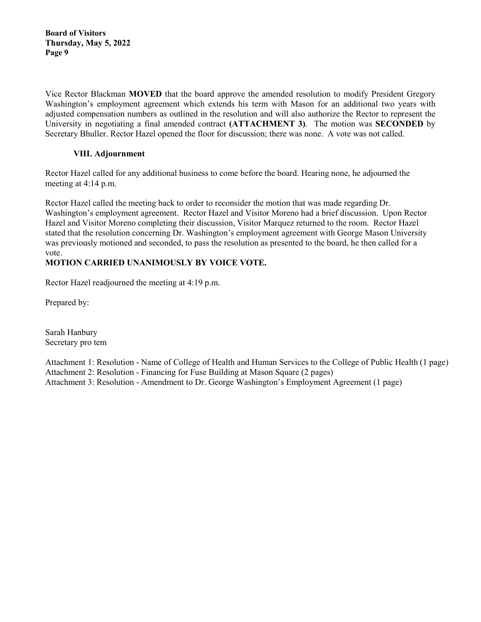**Board of Visitors Thursday, May 5, 2022 Page 9**

Vice Rector Blackman **MOVED** that the board approve the amended resolution to modify President Gregory Washington's employment agreement which extends his term with Mason for an additional two years with adjusted compensation numbers as outlined in the resolution and will also authorize the Rector to represent the University in negotiating a final amended contract **(ATTACHMENT 3)**. The motion was **SECONDED** by Secretary Bhuller. Rector Hazel opened the floor for discussion; there was none. A vote was not called.

# **VIII. Adjournment**

Rector Hazel called for any additional business to come before the board. Hearing none, he adjourned the meeting at 4:14 p.m.

Rector Hazel called the meeting back to order to reconsider the motion that was made regarding Dr. Washington's employment agreement. Rector Hazel and Visitor Moreno had a brief discussion. Upon Rector Hazel and Visitor Moreno completing their discussion, Visitor Marquez returned to the room. Rector Hazel stated that the resolution concerning Dr. Washington's employment agreement with George Mason University was previously motioned and seconded, to pass the resolution as presented to the board, he then called for a vote.

# **MOTION CARRIED UNANIMOUSLY BY VOICE VOTE.**

Rector Hazel readjourned the meeting at 4:19 p.m.

Prepared by:

Sarah Hanbury Secretary pro tem

Attachment 1: Resolution - Name of College of Health and Human Services to the College of Public Health (1 page) Attachment 2: Resolution - Financing for Fuse Building at Mason Square (2 pages) Attachment 3: Resolution - Amendment to Dr. George Washington's Employment Agreement (1 page)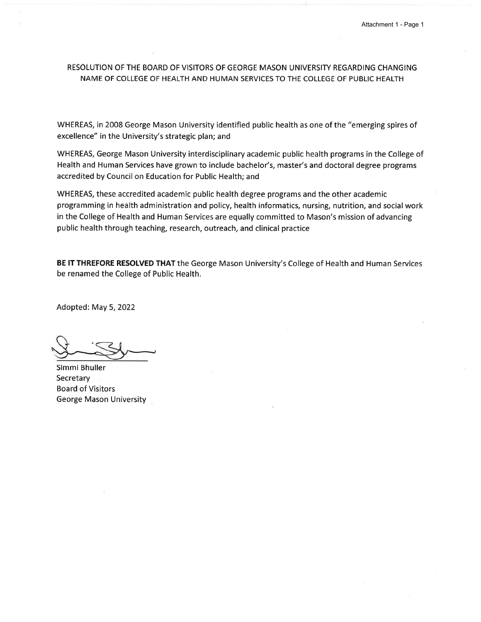## RESOLUTION OF THE BOARD OF VISITORS OF GEORGE MASON UNIVERSITY REGARDING CHANGING NAME OF COLLEGE OF HEALTH AND HUMAN SERVICES TO THE COLLEGE OF PUBLIC HEALTH

WHEREAS, in 2008 George Mason University identified public health as one of the "emerging spires of excellence" in the University's strategic plan; and

WHEREAS, George Mason University interdisciplinary academic public health programs in the College of Health and Human Services have grown to include bachelor's, master's and doctoral degree programs accredited by Council on Education for Public Health; and

WHEREAS, these accredited academic public health degree programs and the other academic programming in health administration and policy, health informatics, nursing, nutrition, and social work in the College of Health and Human Services are equally committed to Mason's mission of advancing public health through teaching, research, outreach, and clinical practice

BE IT THREFORE RESOLVED THAT the George Mason University's College of Health and Human Services be renamed the College of Public Health.

Adopted: May 5, 2022

Simmi Bhuller Secretary **Board of Visitors** George Mason University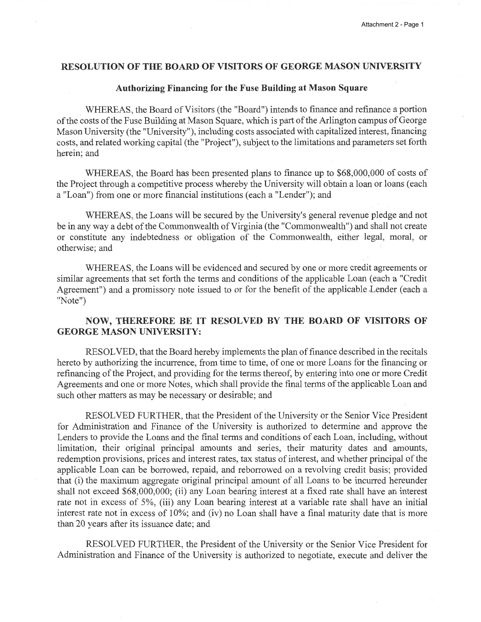#### **RESOLUTION OF THE BOARD OF VISITORS OF GEORGE MASON UNIVERSITY**

#### **Authorizing Financing for the Fuse Building at Mason Square**

WHEREAS, the Board of Visitors (the "Board") intends to finance and refinance a portion of the costs of the Fuse Building at Mason Square, which is part of the Arlington campus of George Mason University (the "University"), including costs associated with capitalized interest, financing costs, and related working capital (the "Project"), subject to the limitations and parameters set forth herein; and

WHEREAS, the Board has been presented plans to finance up to \$68,000,000 of costs of the Project through a competitive process whereby the University will obtain a loan or loans (each a "Loan") from one or more financial institutions (each a "Lender"); and

WHEREAS, the Loans will be secured by the University's general revenue pledge and not be in any way a debt of the Commonwealth of Virginia (the "Commonwealth") and shall not create or constitute any indebtedness or obligation of the Commonwealth, either legal, moral, or otherwise; and

WHEREAS, the Loans will be evidenced and secured by one or more credit agreements or similar agreements that set forth the terms and conditions of the applicable Loan (each a "Credit" Agreement") and a promissory note issued to or for the benefit of the applicable Lender (each a "Note")

# NOW, THEREFORE BE IT RESOLVED BY THE BOARD OF VISITORS OF **GEORGE MASON UNIVERSITY:**

RESOLVED, that the Board hereby implements the plan of finance described in the recitals hereto by authorizing the incurrence, from time to time, of one or more Loans for the financing or refinancing of the Project, and providing for the terms thereof, by entering into one or more Credit Agreements and one or more Notes, which shall provide the final terms of the applicable Loan and such other matters as may be necessary or desirable; and

RESOLVED FURTHER, that the President of the University or the Senior Vice President for Administration and Finance of the University is authorized to determine and approve the Lenders to provide the Loans and the final terms and conditions of each Loan, including, without limitation, their original principal amounts and series, their maturity dates and amounts, redemption provisions, prices and interest rates, tax status of interest, and whether principal of the applicable Loan can be borrowed, repaid, and reborrowed on a revolving credit basis; provided that (i) the maximum aggregate original principal amount of all Loans to be incurred hereunder shall not exceed \$68,000,000; (ii) any Loan bearing interest at a fixed rate shall have an interest rate not in excess of 5%, (iii) any Loan bearing interest at a variable rate shall have an initial interest rate not in excess of 10%; and (iv) no Loan shall have a final maturity date that is more than 20 years after its issuance date; and

RESOLVED FURTHER, the President of the University or the Senior Vice President for Administration and Finance of the University is authorized to negotiate, execute and deliver the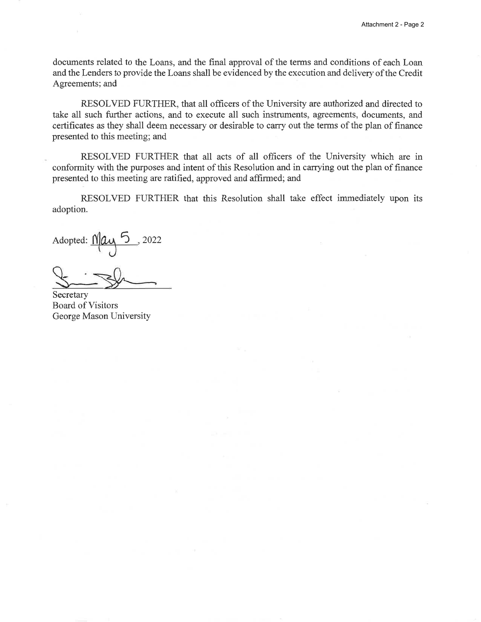documents related to the Loans, and the final approval of the terms and conditions of each Loan and the Lenders to provide the Loans shall be evidenced by the execution and delivery of the Credit Agreements; and

RESOLVED FURTHER, that all officers of the University are authorized and directed to take all such further actions, and to execute all such instruments, agreements, documents, and certificates as they shall deem necessary or desirable to carry out the terms of the plan of finance presented to this meeting; and

RESOLVED FURTHER that all acts of all officers of the University which are in conformity with the purposes and intent of this Resolution and in carrying out the plan of finance presented to this meeting are ratified, approved and affirmed; and

RESOLVED FURTHER that this Resolution shall take effect immediately upon its adoption.

Adopted:  $M\alpha$ <sup>5</sup>, 2022

Secretary **Board of Visitors** George Mason University